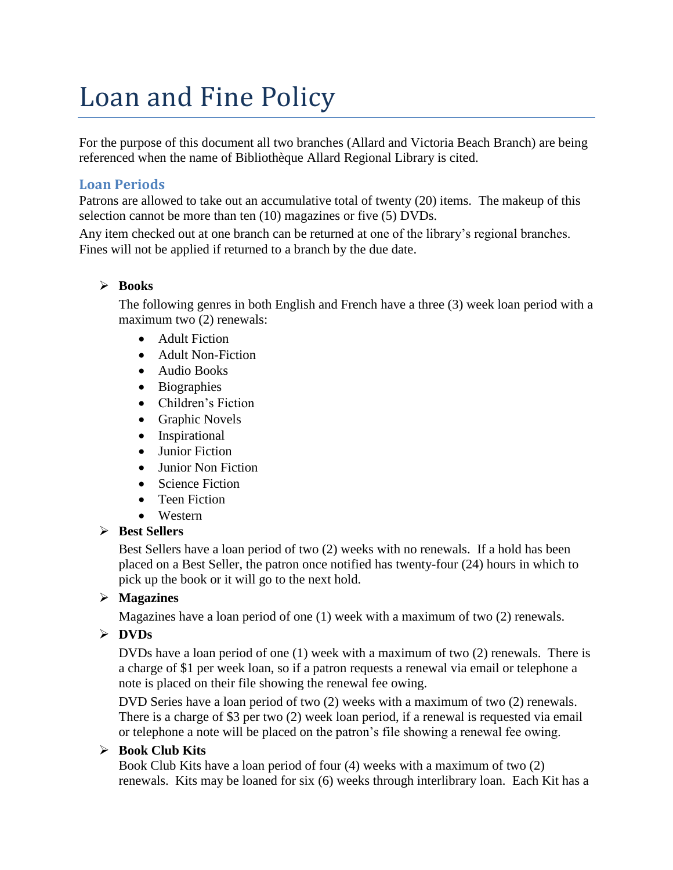# Loan and Fine Policy

For the purpose of this document all two branches (Allard and Victoria Beach Branch) are being referenced when the name of Bibliothèque Allard Regional Library is cited.

# **Loan Periods**

Patrons are allowed to take out an accumulative total of twenty (20) items. The makeup of this selection cannot be more than ten (10) magazines or five (5) DVDs.

Any item checked out at one branch can be returned at one of the library's regional branches. Fines will not be applied if returned to a branch by the due date.

## ➢ **Books**

The following genres in both English and French have a three (3) week loan period with a maximum two (2) renewals:

- Adult Fiction
- Adult Non-Fiction
- Audio Books
- Biographies
- Children's Fiction
- Graphic Novels
- Inspirational
- Junior Fiction
- Junior Non Fiction
- Science Fiction
- Teen Fiction
- Western

#### ➢ **Best Sellers**

Best Sellers have a loan period of two (2) weeks with no renewals. If a hold has been placed on a Best Seller, the patron once notified has twenty-four (24) hours in which to pick up the book or it will go to the next hold.

# ➢ **Magazines**

Magazines have a loan period of one (1) week with a maximum of two (2) renewals.

# ➢ **DVDs**

DVDs have a loan period of one (1) week with a maximum of two (2) renewals. There is a charge of \$1 per week loan, so if a patron requests a renewal via email or telephone a note is placed on their file showing the renewal fee owing.

DVD Series have a loan period of two (2) weeks with a maximum of two (2) renewals. There is a charge of \$3 per two (2) week loan period, if a renewal is requested via email or telephone a note will be placed on the patron's file showing a renewal fee owing.

# ➢ **Book Club Kits**

Book Club Kits have a loan period of four (4) weeks with a maximum of two (2) renewals. Kits may be loaned for six (6) weeks through interlibrary loan. Each Kit has a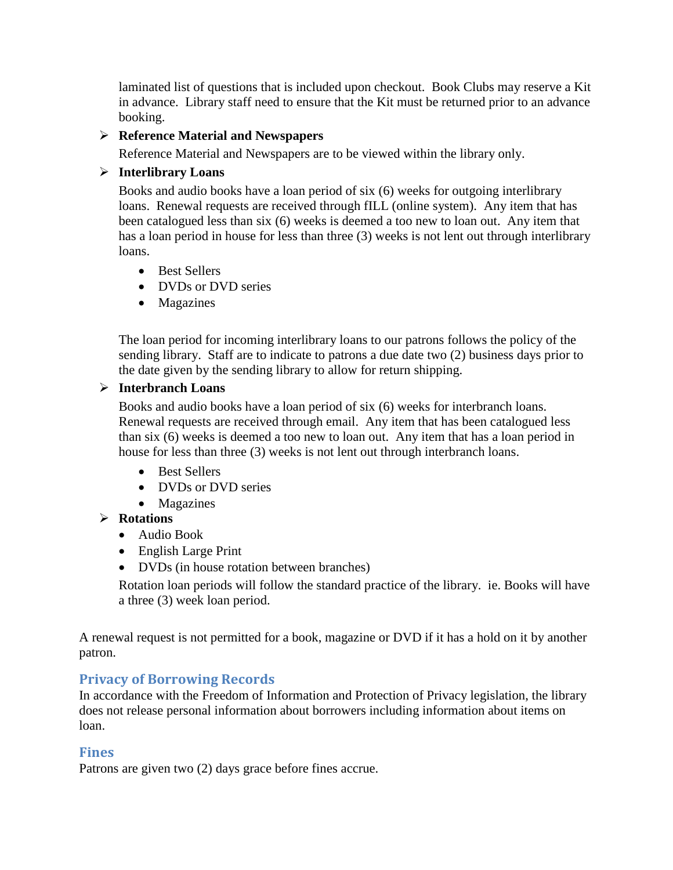laminated list of questions that is included upon checkout. Book Clubs may reserve a Kit in advance. Library staff need to ensure that the Kit must be returned prior to an advance booking.

## ➢ **Reference Material and Newspapers**

Reference Material and Newspapers are to be viewed within the library only.

## ➢ **Interlibrary Loans**

Books and audio books have a loan period of six (6) weeks for outgoing interlibrary loans. Renewal requests are received through fILL (online system). Any item that has been catalogued less than six (6) weeks is deemed a too new to loan out. Any item that has a loan period in house for less than three (3) weeks is not lent out through interlibrary loans.

- Best Sellers
- DVDs or DVD series
- Magazines

The loan period for incoming interlibrary loans to our patrons follows the policy of the sending library. Staff are to indicate to patrons a due date two (2) business days prior to the date given by the sending library to allow for return shipping.

#### ➢ **Interbranch Loans**

Books and audio books have a loan period of six (6) weeks for interbranch loans. Renewal requests are received through email. Any item that has been catalogued less than six (6) weeks is deemed a too new to loan out. Any item that has a loan period in house for less than three (3) weeks is not lent out through interbranch loans.

- Best Sellers
- DVDs or DVD series
- Magazines

# ➢ **Rotations**

- Audio Book
- English Large Print
- DVDs (in house rotation between branches)

Rotation loan periods will follow the standard practice of the library. ie. Books will have a three (3) week loan period.

A renewal request is not permitted for a book, magazine or DVD if it has a hold on it by another patron.

# **Privacy of Borrowing Records**

In accordance with the Freedom of Information and Protection of Privacy legislation, the library does not release personal information about borrowers including information about items on loan.

# **Fines**

Patrons are given two (2) days grace before fines accrue.